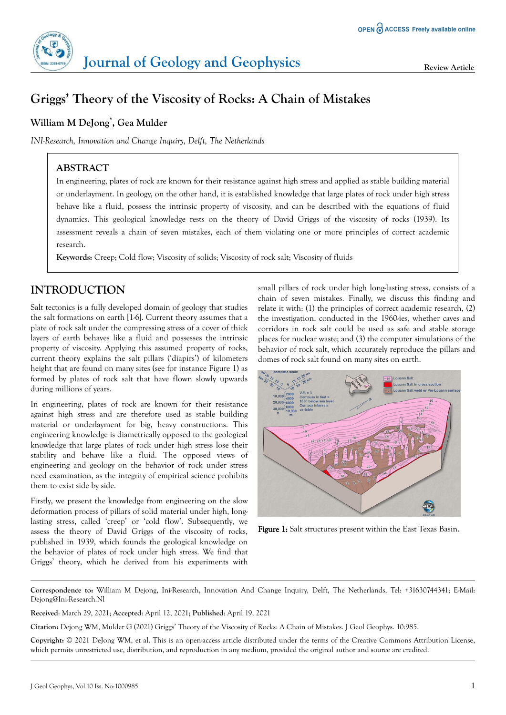

# **Griggs' Theory of the Viscosity of Rocks: A Chain of Mistakes**

## **William M DeJong\* , Gea Mulder**

*INI-Research, Innovation and Change Inquiry, Delft, The Netherlands*

## **ABSTRACT**

In engineering, plates of rock are known for their resistance against high stress and applied as stable building material or underlayment. In geology, on the other hand, it is established knowledge that large plates of rock under high stress behave like a fluid, possess the intrinsic property of viscosity, and can be described with the equations of fluid dynamics. This geological knowledge rests on the theory of David Griggs of the viscosity of rocks (1939). Its assessment reveals a chain of seven mistakes, each of them violating one or more principles of correct academic research.

**Keywords:** Creep; Cold flow; Viscosity of solids; Viscosity of rock salt; Viscosity of fluids

## **INTRODUCTION**

Salt tectonics is a fully developed domain of geology that studies the salt formations on earth [1-6]. Current theory assumes that a plate of rock salt under the compressing stress of a cover of thick layers of earth behaves like a fluid and possesses the intrinsic property of viscosity. Applying this assumed property of rocks, current theory explains the salt pillars ('diapirs') of kilometers height that are found on many sites (see for instance Figure 1) as formed by plates of rock salt that have flown slowly upwards during millions of years.

In engineering, plates of rock are known for their resistance against high stress and are therefore used as stable building material or underlayment for big, heavy constructions. This engineering knowledge is diametrically opposed to the geological knowledge that large plates of rock under high stress lose their stability and behave like a fluid. The opposed views of engineering and geology on the behavior of rock under stress need examination, as the integrity of empirical science prohibits them to exist side by side.

Firstly, we present the knowledge from engineering on the slow deformation process of pillars of solid material under high, longlasting stress, called 'creep' or 'cold flow'. Subsequently, we assess the theory of David Griggs of the viscosity of rocks, published in 1939, which founds the geological knowledge on the behavior of plates of rock under high stress. We find that Griggs' theory, which he derived from his experiments with

small pillars of rock under high long-lasting stress, consists of a chain of seven mistakes. Finally, we discuss this finding and relate it with: (1) the principles of correct academic research, (2) the investigation, conducted in the 1960-ies, whether caves and corridors in rock salt could be used as safe and stable storage places for nuclear waste; and (3) the computer simulations of the behavior of rock salt, which accurately reproduce the pillars and domes of rock salt found on many sites on earth.



Figure 1: Salt structures present within the East Texas Basin.

**Correspondence to:** William M Dejong, Ini-Research, Innovation And Change Inquiry, Delft, The Netherlands, Tel: +31630744341; E-Mail: Dejong@Ini-Research.Nl

**Received**: March 29, 2021; **Accepted**: April 12, 2021; **Published**: April 19, 2021

**Citation:** Dejong WM, Mulder G (2021) Griggs' Theory of the Viscosity of Rocks: A Chain of Mistakes. J Geol Geophys. 10:985.

**Copyright:** © 2021 DeJong WM, et al. This is an open-access article distributed under the terms of the Creative Commons Attribution License, which permits unrestricted use, distribution, and reproduction in any medium, provided the original author and source are credited.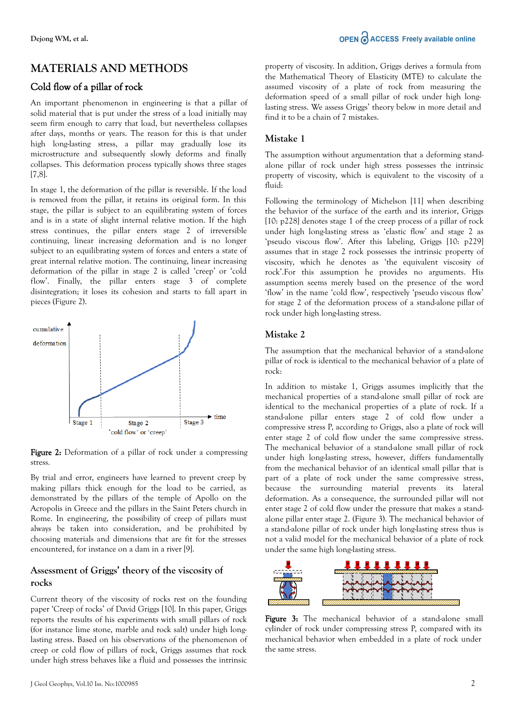## **MATERIALS AND METHODS**

#### Cold flow of a pillar of rock

An important phenomenon in engineering is that a pillar of solid material that is put under the stress of a load initially may seem firm enough to carry that load, but nevertheless collapses after days, months or years. The reason for this is that under high long-lasting stress, a pillar may gradually lose its microstructure and subsequently slowly deforms and finally collapses. This deformation process typically shows three stages [7,8].

In stage 1, the deformation of the pillar is reversible. If the load is removed from the pillar, it retains its original form. In this stage, the pillar is subject to an equilibrating system of forces and is in a state of slight internal relative motion. If the high stress continues, the pillar enters stage 2 of irreversible continuing, linear increasing deformation and is no longer subject to an equilibrating system of forces and enters a state of great internal relative motion. The continuing, linear increasing deformation of the pillar in stage 2 is called 'creep' or 'cold flow'. Finally, the pillar enters stage 3 of complete disintegration; it loses its cohesion and starts to fall apart in pieces (Figure 2).



Figure 2: Deformation of a pillar of rock under a compressing stress.

By trial and error, engineers have learned to prevent creep by making pillars thick enough for the load to be carried, as demonstrated by the pillars of the temple of Apollo on the Acropolis in Greece and the pillars in the Saint Peters church in Rome. In engineering, the possibility of creep of pillars must always be taken into consideration, and be prohibited by choosing materials and dimensions that are fit for the stresses encountered, for instance on a dam in a river [9].

#### **Assessment of Griggs' theory of the viscosity of rocks**

Current theory of the viscosity of rocks rest on the founding paper 'Creep of rocks' of David Griggs [10]. In this paper, Griggs reports the results of his experiments with small pillars of rock (for instance lime stone, marble and rock salt) under high longlasting stress. Based on his observations of the phenomenon of creep or cold flow of pillars of rock, Griggs assumes that rock under high stress behaves like a fluid and possesses the intrinsic property of viscosity. In addition, Griggs derives a formula from the Mathematical Theory of Elasticity (MTE) to calculate the assumed viscosity of a plate of rock from measuring the deformation speed of a small pillar of rock under high longlasting stress. We assess Griggs' theory below in more detail and find it to be a chain of 7 mistakes.

#### **Mistake 1**

The assumption without argumentation that a deforming standalone pillar of rock under high stress possesses the intrinsic property of viscosity, which is equivalent to the viscosity of a fluid:

Following the terminology of Michelson [11] when describing the behavior of the surface of the earth and its interior, Griggs [10: p228] denotes stage 1 of the creep process of a pillar of rock under high long-lasting stress as 'elastic flow' and stage 2 as 'pseudo viscous flow'. After this labeling, Griggs [10: p229] assumes that in stage 2 rock possesses the intrinsic property of viscosity, which he denotes as 'the equivalent viscosity of rock'.For this assumption he provides no arguments. His assumption seems merely based on the presence of the word 'flow' in the name 'cold flow', respectively 'pseudo viscous flow' for stage 2 of the deformation process of a stand-alone pillar of rock under high long-lasting stress.

#### **Mistake 2**

The assumption that the mechanical behavior of a stand-alone pillar of rock is identical to the mechanical behavior of a plate of rock:

In addition to mistake 1, Griggs assumes implicitly that the mechanical properties of a stand-alone small pillar of rock are identical to the mechanical properties of a plate of rock. If a stand-alone pillar enters stage 2 of cold flow under a compressive stress P, according to Griggs, also a plate of rock will enter stage 2 of cold flow under the same compressive stress. The mechanical behavior of a stand-alone small pillar of rock under high long-lasting stress, however, differs fundamentally from the mechanical behavior of an identical small pillar that is part of a plate of rock under the same compressive stress, because the surrounding material prevents its lateral deformation. As a consequence, the surrounded pillar will not enter stage 2 of cold flow under the pressure that makes a standalone pillar enter stage 2. (Figure 3). The mechanical behavior of a stand-alone pillar of rock under high long-lasting stress thus is not a valid model for the mechanical behavior of a plate of rock under the same high long-lasting stress.



Figure 3: The mechanical behavior of a stand-alone small cylinder of rock under compressing stress P, compared with its mechanical behavior when embedded in a plate of rock under the same stress.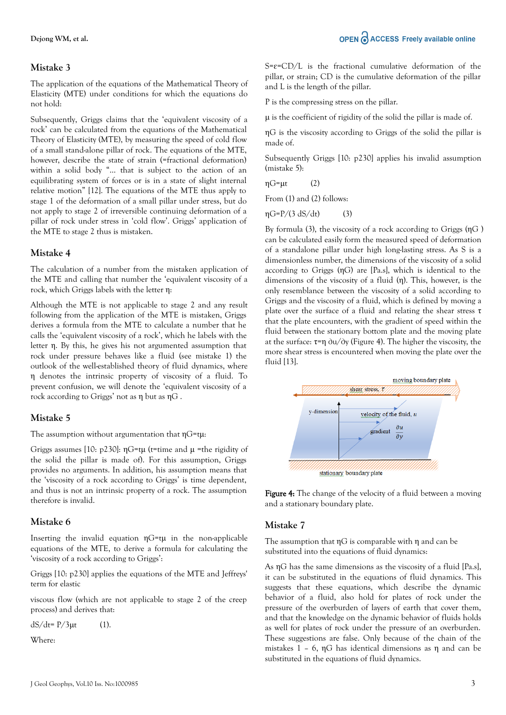## **Mistake 3**

The application of the equations of the Mathematical Theory of Elasticity (MTE) under conditions for which the equations do not hold:

Subsequently, Griggs claims that the 'equivalent viscosity of a rock' can be calculated from the equations of the Mathematical Theory of Elasticity (MTE), by measuring the speed of cold flow of a small stand-alone pillar of rock. The equations of the MTE, however, describe the state of strain (=fractional deformation) within a solid body "… that is subject to the action of an equilibrating system of forces or is in a state of slight internal relative motion" [12]. The equations of the MTE thus apply to stage 1 of the deformation of a small pillar under stress, but do not apply to stage 2 of irreversible continuing deformation of a pillar of rock under stress in 'cold flow'. Griggs' application of the MTE to stage 2 thus is mistaken.

### **Mistake 4**

The calculation of a number from the mistaken application of the MTE and calling that number the 'equivalent viscosity of a rock, which Griggs labels with the letter η:

Although the MTE is not applicable to stage 2 and any result following from the application of the MTE is mistaken, Griggs derives a formula from the MTE to calculate a number that he calls the 'equivalent viscosity of a rock', which he labels with the letter η. By this, he gives his not argumented assumption that rock under pressure behaves like a fluid (see mistake 1) the outlook of the well-established theory of fluid dynamics, where η denotes the intrinsic property of viscosity of a fluid. To prevent confusion, we will denote the 'equivalent viscosity of a rock according to Griggs' not as η but as ηG .

## **Mistake 5**

The assumption without argumentation that  $nG=tu$ :

Griggs assumes [10: p230]:  $\eta$ G=t $\mu$  (t=time and  $\mu$  =the rigidity of the solid the pillar is made of). For this assumption, Griggs provides no arguments. In addition, his assumption means that the 'viscosity of a rock according to Griggs' is time dependent, and thus is not an intrinsic property of a rock. The assumption therefore is invalid.

## **Mistake 6**

Inserting the invalid equation  $\eta G = t\mu$  in the non-applicable equations of the MTE, to derive a formula for calculating the 'viscosity of a rock according to Griggs':

Griggs [10: p230] applies the equations of the MTE and Jeffreys' term for elastic

viscous flow (which are not applicable to stage 2 of the creep process) and derives that:

 $dS/dt = P/3\mu t$  (1).

Where:

 $S = \varepsilon$ =CD/L is the fractional cumulative deformation of the pillar, or strain; CD is the cumulative deformation of the pillar and L is the length of the pillar.

P is the compressing stress on the pillar.

μ is the coefficient of rigidity of the solid the pillar is made of.

ηG is the viscosity according to Griggs of the solid the pillar is made of.

Subsequently Griggs [10: p230] applies his invalid assumption (mistake 5):

 $\eta$ G= $\mu$ t (2)

From (1) and (2) follows:

 $\eta G = P/(3 \text{ dS}/\text{d}t)$  (3)

By formula (3), the viscosity of a rock according to Griggs (ηG ) can be calculated easily form the measured speed of deformation of a standalone pillar under high long-lasting stress. As S is a dimensionless number, the dimensions of the viscosity of a solid according to Griggs (ηG) are [Pa.s], which is identical to the dimensions of the viscosity of a fluid (η). This, however, is the only resemblance between the viscosity of a solid according to Griggs and the viscosity of a fluid, which is defined by moving a plate over the surface of a fluid and relating the shear stress  $\tau$ that the plate encounters, with the gradient of speed within the fluid between the stationary bottom plate and the moving plate at the surface: τ=η ∂u/∂y (Figure 4). The higher the viscosity, the more shear stress is encountered when moving the plate over the fluid [13].



Figure 4: The change of the velocity of a fluid between a moving and a stationary boundary plate.

#### **Mistake 7**

The assumption that ηG is comparable with η and can be substituted into the equations of fluid dynamics:

As ηG has the same dimensions as the viscosity of a fluid [Pa.s], it can be substituted in the equations of fluid dynamics. This suggests that these equations, which describe the dynamic behavior of a fluid, also hold for plates of rock under the pressure of the overburden of layers of earth that cover them, and that the knowledge on the dynamic behavior of fluids holds as well for plates of rock under the pressure of an overburden. These suggestions are false. Only because of the chain of the mistakes 1 – 6, nG has identical dimensions as n and can be substituted in the equations of fluid dynamics.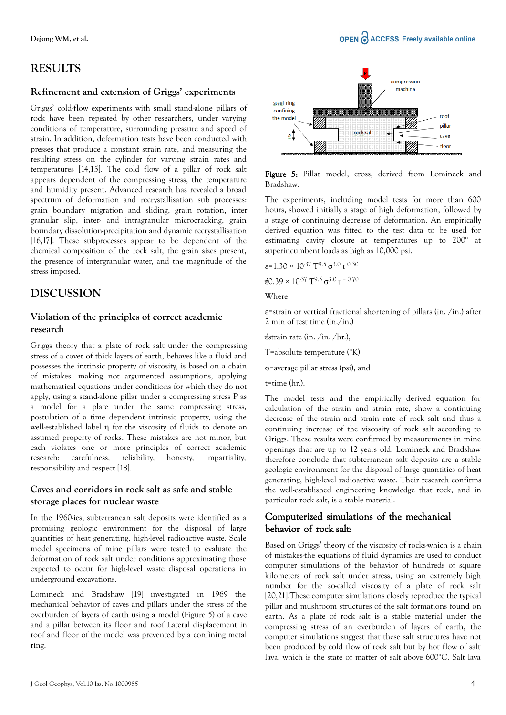#### **Refinement and extension of Griggs' experiments**

Griggs' cold-flow experiments with small stand-alone pillars of rock have been repeated by other researchers, under varying conditions of temperature, surrounding pressure and speed of strain. In addition, deformation tests have been conducted with presses that produce a constant strain rate, and measuring the resulting stress on the cylinder for varying strain rates and temperatures [14,15]. The cold flow of a pillar of rock salt appears dependent of the compressing stress, the temperature and humidity present. Advanced research has revealed a broad spectrum of deformation and recrystallisation sub processes: grain boundary migration and sliding, grain rotation, inter granular slip, inter- and intragranular microcracking, grain boundary dissolution-precipitation and dynamic recrystallisation [16,17]. These subprocesses appear to be dependent of the chemical composition of the rock salt, the grain sizes present, the presence of intergranular water, and the magnitude of the stress imposed.

## **DISCUSSION**

#### **Violation of the principles of correct academic research**

Griggs theory that a plate of rock salt under the compressing stress of a cover of thick layers of earth, behaves like a fluid and possesses the intrinsic property of viscosity, is based on a chain of mistakes: making not argumented assumptions, applying mathematical equations under conditions for which they do not apply, using a stand-alone pillar under a compressing stress P as a model for a plate under the same compressing stress, postulation of a time dependent intrinsic property, using the well-established label η for the viscosity of fluids to denote an assumed property of rocks. These mistakes are not minor, but each violates one or more principles of correct academic research: carefulness, reliability, honesty, impartiality, responsibility and respect [18].

#### **Caves and corridors in rock salt as safe and stable storage places for nuclear waste**

In the 1960-ies, subterranean salt deposits were identified as a promising geologic environment for the disposal of large quantities of heat generating, high-level radioactive waste. Scale model specimens of mine pillars were tested to evaluate the deformation of rock salt under conditions approximating those expected to occur for high-level waste disposal operations in underground excavations.

Lomineck and Bradshaw [19] investigated in 1969 the mechanical behavior of caves and pillars under the stress of the overburden of layers of earth using a model (Figure 5) of a cave and a pillar between its floor and roof Lateral displacement in roof and floor of the model was prevented by a confining metal ring.



Figure 5: Pillar model, cross; derived from Lomineck and Bradshaw.

The experiments, including model tests for more than 600 hours, showed initially a stage of high deformation, followed by a stage of continuing decrease of deformation. An empirically derived equation was fitted to the test data to be used for estimating cavity closure at temperatures up to 200° at superincumbent loads as high as 10,000 psi.

 $\varepsilon$ =1.30 × 10<sup>-37</sup> T<sup>9.5</sup>  $\sigma$ <sup>3.0</sup> t<sup>0.30</sup>

 $\dot{\epsilon}$ 0.39 × 10<sup>-37</sup> T<sup>9.5</sup> σ<sup>3.0</sup> t <sup>- 0.70</sup>

**Where** 

 $\epsilon$ =strain or vertical fractional shortening of pillars (in. /in.) after 2 min of test time (in./in.)

 $\dot{\epsilon}$ strain rate (in. /in. /hr.),

T=absolute temperature (°K)

σ=average pillar stress (psi), and

t=time (hr.).

The model tests and the empirically derived equation for calculation of the strain and strain rate, show a continuing decrease of the strain and strain rate of rock salt and thus a continuing increase of the viscosity of rock salt according to Griggs. These results were confirmed by measurements in mine openings that are up to 12 years old. Lomineck and Bradshaw therefore conclude that subterranean salt deposits are a stable geologic environment for the disposal of large quantities of heat generating, high-level radioactive waste. Their research confirms the well-established engineering knowledge that rock, and in particular rock salt, is a stable material.

### Computerized simulations of the mechanical behavior of rock salt:

Based on Griggs' theory of the viscosity of rocks-which is a chain of mistakes-the equations of fluid dynamics are used to conduct computer simulations of the behavior of hundreds of square kilometers of rock salt under stress, using an extremely high number for the so-called viscosity of a plate of rock salt [20,21].These computer simulations closely reproduce the typical pillar and mushroom structures of the salt formations found on earth. As a plate of rock salt is a stable material under the compressing stress of an overburden of layers of earth, the computer simulations suggest that these salt structures have not been produced by cold flow of rock salt but by hot flow of salt lava, which is the state of matter of salt above 600°C. Salt lava